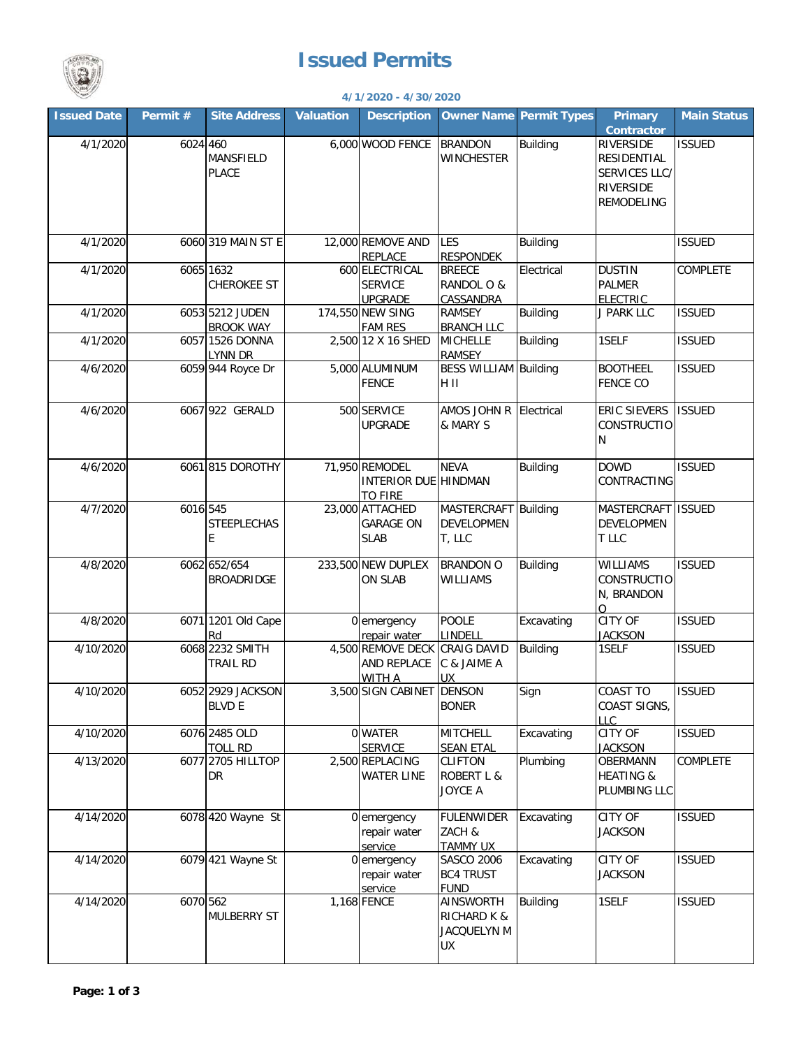



## **4/1/2020 - 4/30/2020**

| <b>Issued Date</b> | Permit $#$ | <b>Site Address</b>                 | <b>Valuation</b> | <b>Description</b>                                                   |                                                          | <b>Owner Name Permit Types</b> | <b>Primary</b><br><b>Contractor</b>                                         | <b>Main Status</b> |
|--------------------|------------|-------------------------------------|------------------|----------------------------------------------------------------------|----------------------------------------------------------|--------------------------------|-----------------------------------------------------------------------------|--------------------|
| 4/1/2020           | 6024 460   | MANSFIELD<br><b>PLACE</b>           |                  | 6,000 WOOD FENCE                                                     | <b>BRANDON</b><br><b>WINCHESTER</b>                      | <b>Building</b>                | RIVERSIDE<br>RESIDENTIAL<br>SERVICES LLC/<br>RIVERSIDE<br><b>REMODELING</b> | <b>ISSUED</b>      |
| 4/1/2020           |            | 6060 319 MAIN ST E                  |                  | 12,000 REMOVE AND<br>REPLACE                                         | LES<br><b>RESPONDEK</b>                                  | <b>Building</b>                |                                                                             | <b>ISSUED</b>      |
| 4/1/2020           |            | 6065 1632<br><b>CHEROKEE ST</b>     |                  | 600 ELECTRICAL<br><b>SERVICE</b><br><b>UPGRADE</b>                   | <b>BREECE</b><br>RANDOL O &<br>CASSANDRA                 | Electrical                     | <b>DUSTIN</b><br><b>PALMER</b><br><b>ELECTRIC</b>                           | COMPLETE           |
| 4/1/2020           |            | 6053 5212 JUDEN<br><b>BROOK WAY</b> |                  | 174,550 NEW SING<br><b>FAM RES</b>                                   | <b>RAMSEY</b><br><b>BRANCH LLC</b>                       | <b>Building</b>                | J PARK LLC                                                                  | <b>ISSUED</b>      |
| 4/1/2020           |            | 6057 1526 DONNA<br>LYNN DR          |                  | 2,500 12 X 16 SHED                                                   | <b>MICHELLE</b><br><b>RAMSEY</b>                         | Building                       | 1SELF                                                                       | <b>ISSUED</b>      |
| 4/6/2020           |            | 6059 944 Royce Dr                   |                  | 5,000 ALUMINUM<br><b>FENCE</b>                                       | <b>BESS WILLIAM Building</b><br>H II                     |                                | <b>BOOTHEEL</b><br><b>FENCE CO</b>                                          | <b>ISSUED</b>      |
| 4/6/2020           |            | 6067 922 GERALD                     |                  | 500 SERVICE<br><b>UPGRADE</b>                                        | AMOS JOHN R<br>& MARY S                                  | Electrical                     | ERIC SIEVERS<br>CONSTRUCTIO<br>N                                            | <b>ISSUED</b>      |
| 4/6/2020           |            | 6061 815 DOROTHY                    |                  | 71,950 REMODEL<br>INTERIOR DUE HINDMAN<br><b>TO FIRE</b>             | <b>NEVA</b>                                              | <b>Building</b>                | <b>DOWD</b><br>CONTRACTING                                                  | <b>ISSUED</b>      |
| 4/7/2020           | 6016 545   | <b>STEEPLECHAS</b><br>E             |                  | 23,000 ATTACHED<br><b>GARAGE ON</b><br><b>SLAB</b>                   | MASTERCRAFT Building<br><b>DEVELOPMEN</b><br>T, LLC      |                                | <b>MASTERCRAFT</b><br><b>DEVELOPMEN</b><br>T LLC                            | <b>ISSUED</b>      |
| 4/8/2020           |            | 6062 652/654<br><b>BROADRIDGE</b>   |                  | 233,500 NEW DUPLEX<br><b>ON SLAB</b>                                 | <b>BRANDON O</b><br><b>WILLIAMS</b>                      | <b>Building</b>                | <b>WILLIAMS</b><br><b>CONSTRUCTIO</b><br>N, BRANDON<br>O                    | <b>ISSUED</b>      |
| 4/8/2020           |            | 6071 1201 Old Cape<br>Rd            |                  | 0 emergency<br>repair water                                          | <b>POOLE</b><br>LINDELL                                  | Excavating                     | <b>CITY OF</b><br><b>JACKSON</b>                                            | <b>ISSUED</b>      |
| 4/10/2020          |            | 6068 2232 SMITH<br>TRAIL RD         |                  | 4,500 REMOVE DECK CRAIG DAVID<br><b>AND REPLACE</b><br><b>WITH A</b> | C & JAIME A<br>UX                                        | <b>Building</b>                | 1SELF                                                                       | <b>ISSUED</b>      |
| 4/10/2020          |            | 6052 2929 JACKSON<br><b>BLVD E</b>  |                  | 3,500 SIGN CABINET DENSON                                            | <b>BONER</b>                                             | Sign                           | <b>COAST TO</b><br>COAST SIGNS,<br><b>LLC</b>                               | <b>ISSUED</b>      |
| 4/10/2020          |            | 6076 2485 OLD<br><b>TOLL RD</b>     |                  | 0 WATER<br><b>SERVICE</b>                                            | <b>MITCHELL</b><br><b>SEAN ETAL</b>                      | Excavating                     | CITY OF<br><b>JACKSON</b>                                                   | <b>ISSUED</b>      |
| 4/13/2020          |            | 6077 2705 HILLTOP<br>DR             |                  | 2,500 REPLACING<br><b>WATER LINE</b>                                 | <b>CLIFTON</b><br><b>ROBERT L &amp;</b><br>JOYCE A       | Plumbing                       | OBERMANN<br><b>HEATING &amp;</b><br>PLUMBING LLC                            | COMPLETE           |
| 4/14/2020          |            | 6078 420 Wayne St                   |                  | 0 emergency<br>repair water<br>service                               | <b>FULENWIDER</b><br>ZACH &<br><b>TAMMY UX</b>           | Excavating                     | CITY OF<br><b>JACKSON</b>                                                   | <b>ISSUED</b>      |
| 4/14/2020          |            | 6079 421 Wayne St                   |                  | 0 emergency<br>repair water<br>service                               | <b>SASCO 2006</b><br><b>BC4 TRUST</b><br><b>FUND</b>     | Excavating                     | CITY OF<br><b>JACKSON</b>                                                   | <b>ISSUED</b>      |
| 4/14/2020          | 6070 562   | MULBERRY ST                         |                  | 1,168 FENCE                                                          | AINSWORTH<br><b>RICHARD K &amp;</b><br>JACQUELYN M<br>UX | <b>Building</b>                | 1SELF                                                                       | <b>ISSUED</b>      |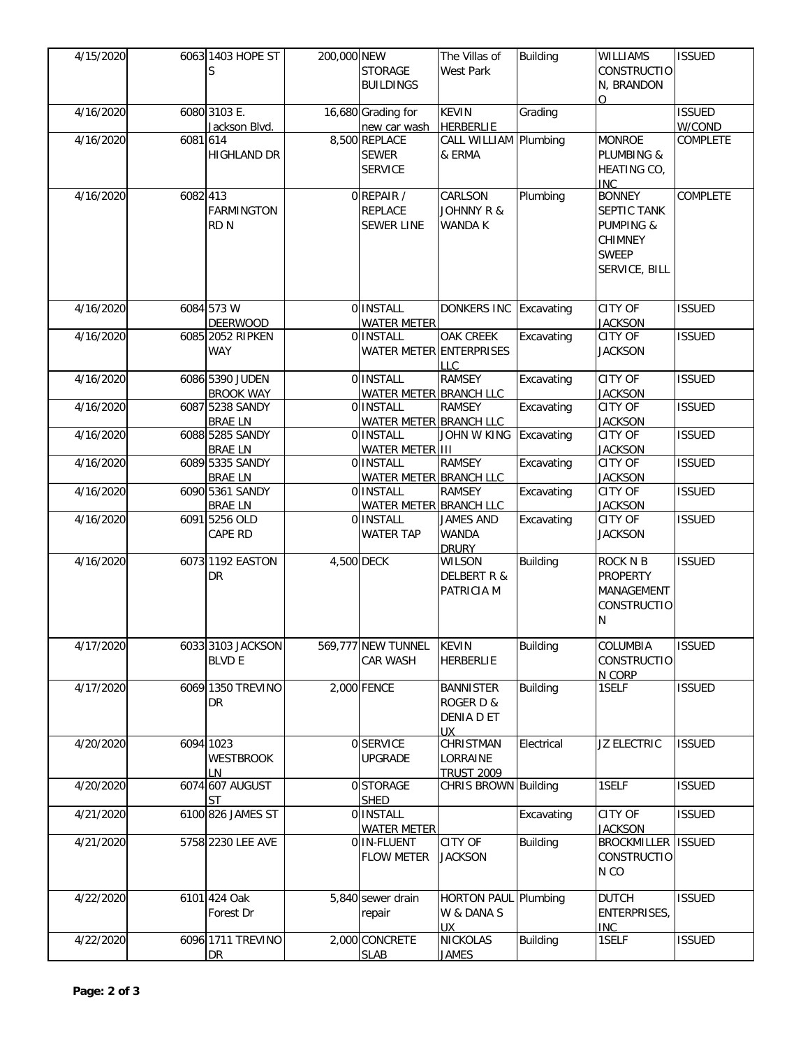| 4/15/2020 |            | 6063 1403 HOPE ST                 | 200,000 NEW |                                     | The Villas of               | <b>Building</b> | WILLIAMS                    | <b>ISSUED</b>   |
|-----------|------------|-----------------------------------|-------------|-------------------------------------|-----------------------------|-----------------|-----------------------------|-----------------|
|           |            | S                                 |             | <b>STORAGE</b>                      | <b>West Park</b>            |                 | <b>CONSTRUCTIO</b>          |                 |
|           |            |                                   |             | <b>BUILDINGS</b>                    |                             |                 | N, BRANDON                  |                 |
|           |            |                                   |             |                                     |                             |                 | $\Omega$                    |                 |
| 4/16/2020 |            | 6080 3103 E.                      |             | 16,680 Grading for                  | <b>KEVIN</b>                | Grading         |                             | <b>ISSUED</b>   |
|           |            | Jackson Blvd.                     |             | new car wash                        | <b>HERBERLIE</b>            |                 |                             | W/COND          |
| 4/16/2020 | 6081 614   |                                   |             | 8,500 REPLACE                       | CALL WILLIAM Plumbing       |                 | <b>MONROE</b>               | COMPLETE        |
|           |            | <b>HIGHLAND DR</b>                |             | <b>SEWER</b>                        | & ERMA                      |                 | PLUMBING &                  |                 |
|           |            |                                   |             | <b>SERVICE</b>                      |                             |                 | <b>HEATING CO,</b>          |                 |
| 4/16/2020 | $6082$ 413 |                                   |             | 0 REPAIR /                          | CARLSON                     | Plumbing        | <b>INC</b><br><b>BONNEY</b> | <b>COMPLETE</b> |
|           |            | <b>FARMINGTON</b>                 |             | <b>REPLACE</b>                      | <b>JOHNNY R &amp;</b>       |                 | SEPTIC TANK                 |                 |
|           |            | <b>RDN</b>                        |             | <b>SEWER LINE</b>                   | WANDA K                     |                 | <b>PUMPING &amp;</b>        |                 |
|           |            |                                   |             |                                     |                             |                 | <b>CHIMNEY</b>              |                 |
|           |            |                                   |             |                                     |                             |                 | <b>SWEEP</b>                |                 |
|           |            |                                   |             |                                     |                             |                 | SERVICE, BILL               |                 |
|           |            |                                   |             |                                     |                             |                 |                             |                 |
|           |            |                                   |             |                                     |                             |                 |                             |                 |
| 4/16/2020 |            | 6084 573 W                        |             | 0 INSTALL                           | DONKERS INC                 | Excavating      | CITY OF                     | <b>ISSUED</b>   |
|           |            | <b>DEERWOOD</b>                   |             | <b>WATER METER</b>                  |                             |                 | <b>JACKSON</b>              |                 |
| 4/16/2020 |            | 6085 2052 RIPKEN                  |             | 0 INSTALL                           | <b>OAK CREEK</b>            | Excavating      | CITY OF                     | <b>ISSUED</b>   |
|           |            | <b>WAY</b>                        |             | <b>WATER METER ENTERPRISES</b>      |                             |                 | <b>JACKSON</b>              |                 |
|           |            |                                   |             |                                     | <b>LLC</b>                  |                 |                             |                 |
| 4/16/2020 |            | 6086 5390 JUDEN                   |             | 0 INSTALL                           | <b>RAMSEY</b>               | Excavating      | CITY OF                     | <b>ISSUED</b>   |
| 4/16/2020 |            | <b>BROOK WAY</b>                  |             | WATER METER BRANCH LLC              |                             |                 | <b>JACKSON</b><br>CITY OF   |                 |
|           |            | 6087 5238 SANDY<br><b>BRAE LN</b> |             | 0 INSTALL<br>WATER METER BRANCH LLC | <b>RAMSEY</b>               | Excavating      | <b>JACKSON</b>              | <b>ISSUED</b>   |
| 4/16/2020 |            | 6088 5285 SANDY                   |             | 0 INSTALL                           | <b>JOHN W KING</b>          | Excavating      | CITY OF                     | <b>ISSUED</b>   |
|           |            | <b>BRAE LN</b>                    |             | <b>WATER METER III</b>              |                             |                 | <b>JACKSON</b>              |                 |
| 4/16/2020 |            | 6089 5335 SANDY                   |             | 0 INSTALL                           | <b>RAMSEY</b>               | Excavating      | CITY OF                     | <b>ISSUED</b>   |
|           |            | <b>BRAE LN</b>                    |             | <b>WATER METER BRANCH LLC</b>       |                             |                 | <b>JACKSON</b>              |                 |
| 4/16/2020 |            | 6090 5361 SANDY                   |             | 0 INSTALL                           | <b>RAMSEY</b>               | Excavating      | CITY OF                     | <b>ISSUED</b>   |
|           |            | <b>BRAE LN</b>                    |             | WATER METER BRANCH LLC              |                             |                 | <b>JACKSON</b>              |                 |
| 4/16/2020 |            | 6091 5256 OLD                     |             | 0 INSTALL                           | <b>JAMES AND</b>            | Excavating      | <b>CITY OF</b>              | <b>ISSUED</b>   |
|           |            | CAPE RD                           |             | <b>WATER TAP</b>                    | <b>WANDA</b>                |                 | <b>JACKSON</b>              |                 |
|           |            |                                   |             |                                     | <b>DRURY</b>                |                 |                             |                 |
| 4/16/2020 |            | 6073 1192 EASTON                  | 4,500 DECK  |                                     | <b>WILSON</b>               | <b>Building</b> | ROCK N B                    | <b>ISSUED</b>   |
|           |            | ${\sf DR}$                        |             |                                     | <b>DELBERT R &amp;</b>      |                 | <b>PROPERTY</b>             |                 |
|           |            |                                   |             |                                     | PATRICIA M                  |                 | MANAGEMENT                  |                 |
|           |            |                                   |             |                                     |                             |                 | <b>CONSTRUCTIO</b>          |                 |
|           |            |                                   |             |                                     |                             |                 | N                           |                 |
| 4/17/2020 |            | 6033 3103 JACKSON                 |             | 569,777 NEW TUNNEL                  | <b>KEVIN</b>                | <b>Building</b> | <b>COLUMBIA</b>             | <b>ISSUED</b>   |
|           |            | <b>BLVD E</b>                     |             | <b>CAR WASH</b>                     | <b>HERBERLIE</b>            |                 | <b>CONSTRUCTIO</b>          |                 |
|           |            |                                   |             |                                     |                             |                 | N CORP                      |                 |
| 4/17/2020 |            | 6069 1350 TREVINO                 |             | 2,000 FENCE                         | <b>BANNISTER</b>            | <b>Building</b> | 1SELF                       | <b>ISSUED</b>   |
|           |            | DR                                |             |                                     | ROGER D &                   |                 |                             |                 |
|           |            |                                   |             |                                     | DENIA D ET                  |                 |                             |                 |
|           |            |                                   |             |                                     | UX                          |                 |                             |                 |
| 4/20/2020 |            | 6094 1023                         |             | 0 SERVICE                           | <b>CHRISTMAN</b>            | Electrical      | JZ ELECTRIC                 | <b>ISSUED</b>   |
|           |            | <b>WESTBROOK</b>                  |             | <b>UPGRADE</b>                      | LORRAINE                    |                 |                             |                 |
|           |            | LN                                |             |                                     | <b>TRUST 2009</b>           |                 |                             |                 |
| 4/20/2020 |            | 6074 607 AUGUST<br><b>ST</b>      |             | 0 STORAGE<br>SHED                   | <b>CHRIS BROWN Building</b> |                 | 1SELF                       | <b>ISSUED</b>   |
| 4/21/2020 |            | 6100 826 JAMES ST                 |             | 0 INSTALL                           |                             | Excavating      | <b>CITY OF</b>              | <b>ISSUED</b>   |
|           |            |                                   |             | <b>WATER METER</b>                  |                             |                 | <b>JACKSON</b>              |                 |
| 4/21/2020 |            | 5758 2230 LEE AVE                 |             | 0 IN-FLUENT                         | CITY OF                     | <b>Building</b> | <b>BROCKMILLER</b>          | <b>ISSUED</b>   |
|           |            |                                   |             | <b>FLOW METER</b>                   | <b>JACKSON</b>              |                 | <b>CONSTRUCTIO</b>          |                 |
|           |            |                                   |             |                                     |                             |                 | N CO                        |                 |
|           |            |                                   |             |                                     |                             |                 |                             |                 |
| 4/22/2020 |            | 6101 424 Oak                      |             | 5,840 sewer drain                   | <b>HORTON PAUL</b>          | Plumbing        | <b>DUTCH</b>                | <b>ISSUED</b>   |
|           |            | Forest Dr                         |             | repair                              | W & DANA S                  |                 | <b>ENTERPRISES,</b>         |                 |
|           |            |                                   |             |                                     | <b>UX</b>                   |                 | <b>INC</b>                  |                 |
| 4/22/2020 |            | 6096 1711 TREVINO                 |             | 2,000 CONCRETE                      | <b>NICKOLAS</b>             | <b>Building</b> | 1SELF                       | <b>ISSUED</b>   |
|           |            | <b>DR</b>                         |             | <b>SLAB</b>                         | <b>JAMES</b>                |                 |                             |                 |